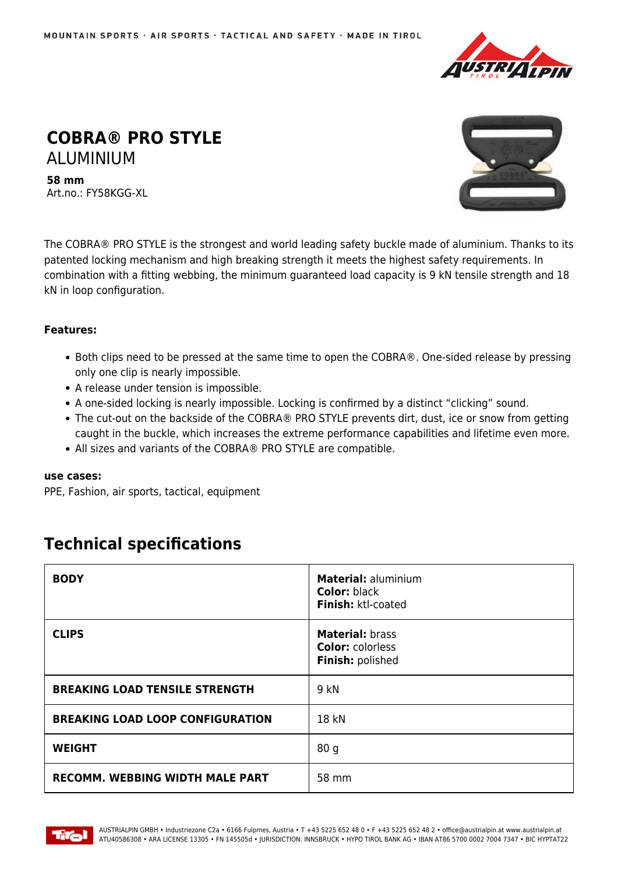

## **COBRA® PRO STYLE** ALUMINIUM

**58 mm** Art.no.: FY58KGG-XL



The COBRA® PRO STYLE is the strongest and world leading safety buckle made of aluminium. Thanks to its patented locking mechanism and high breaking strength it meets the highest safety requirements. In combination with a fitting webbing, the minimum guaranteed load capacity is 9 kN tensile strength and 18 kN in loop configuration.

## **Features:**

- Both clips need to be pressed at the same time to open the COBRA®. One-sided release by pressing only one clip is nearly impossible.
- A release under tension is impossible.
- A one-sided locking is nearly impossible. Locking is confirmed by a distinct "clicking" sound.
- The cut-out on the backside of the COBRA® PRO STYLE prevents dirt, dust, ice or snow from getting caught in the buckle, which increases the extreme performance capabilities and lifetime even more.
- All sizes and variants of the COBRA® PRO STYLE are compatible.

## **use cases:**

PPE, Fashion, air sports, tactical, equipment

## **Technical specifications**

| <b>BODY</b>                             | <b>Material: aluminium</b><br><b>Color: black</b><br>Finish: ktl-coated |
|-----------------------------------------|-------------------------------------------------------------------------|
| <b>CLIPS</b>                            | <b>Material: brass</b><br><b>Color: colorless</b><br>Finish: polished   |
| <b>BREAKING LOAD TENSILE STRENGTH</b>   | 9 kN                                                                    |
| <b>BREAKING LOAD LOOP CONFIGURATION</b> | 18 kN                                                                   |
| <b>WEIGHT</b>                           | 80 g                                                                    |
| <b>RECOMM. WEBBING WIDTH MALE PART</b>  | 58 mm                                                                   |

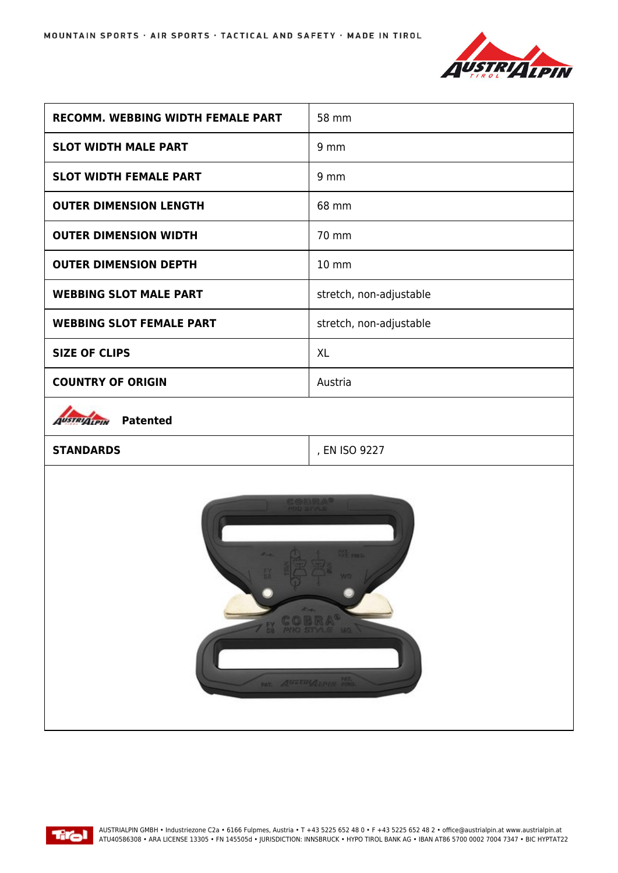

| <b>RECOMM. WEBBING WIDTH FEMALE PART</b>                            | 58 mm                   |
|---------------------------------------------------------------------|-------------------------|
| <b>SLOT WIDTH MALE PART</b>                                         | 9 <sub>mm</sub>         |
| <b>SLOT WIDTH FEMALE PART</b>                                       | 9 <sub>mm</sub>         |
| <b>OUTER DIMENSION LENGTH</b>                                       | 68 mm                   |
| <b>OUTER DIMENSION WIDTH</b>                                        | 70 mm                   |
| <b>OUTER DIMENSION DEPTH</b>                                        | 10 mm                   |
| <b>WEBBING SLOT MALE PART</b>                                       | stretch, non-adjustable |
| <b>WEBBING SLOT FEMALE PART</b>                                     | stretch, non-adjustable |
| <b>SIZE OF CLIPS</b>                                                | <b>XL</b>               |
| <b>COUNTRY OF ORIGIN</b>                                            | Austria                 |
| <b>Patented</b><br><b>JUSTRIALPIN</b>                               |                         |
| <b>STANDARDS</b>                                                    | , EN ISO 9227           |
| <b>PE 11</b><br>EL COBRA <sup>®</sup><br><b>WELL ASSESSMENT PRO</b> |                         |